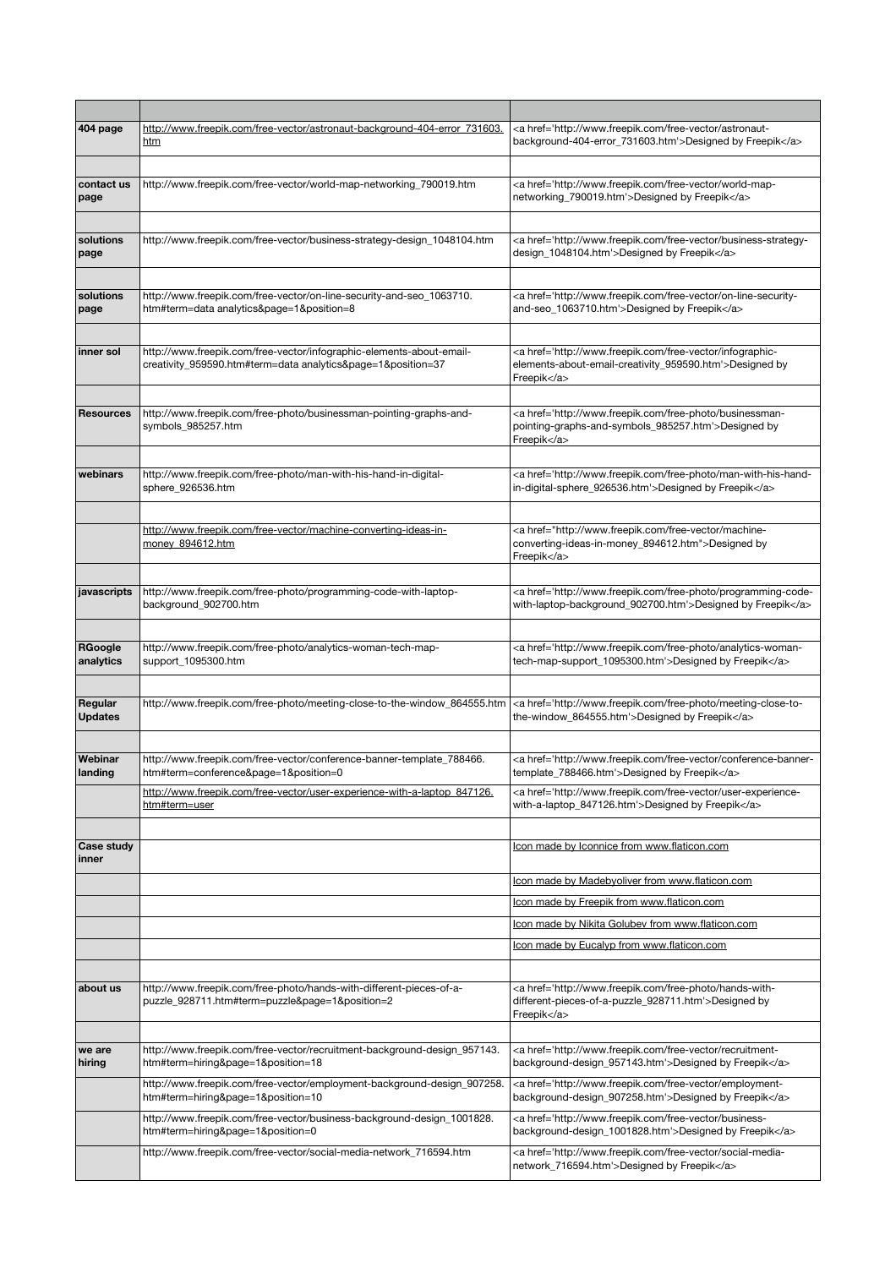| 404 page                  | http://www.freepik.com/free-vector/astronaut-background-404-error 731603.<br><u>htm</u>                                                                                                    | <a href="http://www.freepik.com/free-vector/astronaut-&lt;br&gt;background-404-error_731603.htm">Designed by Freepik</a>                                                                                                                                                                                                               |
|---------------------------|--------------------------------------------------------------------------------------------------------------------------------------------------------------------------------------------|----------------------------------------------------------------------------------------------------------------------------------------------------------------------------------------------------------------------------------------------------------------------------------------------------------------------------------------|
|                           |                                                                                                                                                                                            |                                                                                                                                                                                                                                                                                                                                        |
| contact us<br>page        | http://www.freepik.com/free-vector/world-map-networking_790019.htm                                                                                                                         | <a href="http://www.freepik.com/free-vector/world-map-&lt;br&gt;networking 790019.htm">Designed by Freepik</a>                                                                                                                                                                                                                         |
|                           |                                                                                                                                                                                            |                                                                                                                                                                                                                                                                                                                                        |
| solutions<br>page         | http://www.freepik.com/free-vector/business-strategy-design_1048104.htm                                                                                                                    | <a href="http://www.freepik.com/free-vector/business-strategy-&lt;br&gt;design_1048104.htm">Designed by Freepik</a>                                                                                                                                                                                                                    |
|                           |                                                                                                                                                                                            |                                                                                                                                                                                                                                                                                                                                        |
| solutions<br>page         | http://www.freepik.com/free-vector/on-line-security-and-seo_1063710.<br>htm#term=data analytics&page=1&position=8                                                                          | <a href="http://www.freepik.com/free-vector/on-line-security-&lt;br&gt;and-seo_1063710.htm">Designed by Freepik</a>                                                                                                                                                                                                                    |
|                           |                                                                                                                                                                                            |                                                                                                                                                                                                                                                                                                                                        |
| inner sol                 | http://www.freepik.com/free-vector/infographic-elements-about-email-<br>creativity_959590.htm#term=data analytics&page=1&position=37                                                       | <a href="http://www.freepik.com/free-vector/infographic-&lt;br&gt;elements-about-email-creativity_959590.htm">Designed by<br/>Freepik</a>                                                                                                                                                                                              |
|                           |                                                                                                                                                                                            |                                                                                                                                                                                                                                                                                                                                        |
| <b>Resources</b>          | http://www.freepik.com/free-photo/businessman-pointing-graphs-and-<br>symbols_985257.htm                                                                                                   | <a href="http://www.freepik.com/free-photo/businessman-&lt;br&gt;pointing-graphs-and-symbols_985257.htm">Designed by<br/>Freepik</a>                                                                                                                                                                                                   |
|                           |                                                                                                                                                                                            |                                                                                                                                                                                                                                                                                                                                        |
| webinars                  | http://www.freepik.com/free-photo/man-with-his-hand-in-digital-<br>sphere_926536.htm                                                                                                       | <a href="http://www.freepik.com/free-photo/man-with-his-hand-&lt;br&gt;in-digital-sphere_926536.htm">Designed by Freepik</a>                                                                                                                                                                                                           |
|                           |                                                                                                                                                                                            |                                                                                                                                                                                                                                                                                                                                        |
|                           | http://www.freepik.com/free-vector/machine-converting-ideas-in-<br>money_894612.htm                                                                                                        | <a href="http://www.freepik.com/free-vector/machine-&lt;br&gt;converting-ideas-in-money_894612.htm">Designed by<br/>Freepik</a>                                                                                                                                                                                                        |
|                           |                                                                                                                                                                                            |                                                                                                                                                                                                                                                                                                                                        |
| javascripts               | http://www.freepik.com/free-photo/programming-code-with-laptop-<br>background_902700.htm                                                                                                   | <a href="http://www.freepik.com/free-photo/programming-code-&lt;br&gt;with-laptop-background_902700.htm">Designed by Freepik</a>                                                                                                                                                                                                       |
|                           |                                                                                                                                                                                            |                                                                                                                                                                                                                                                                                                                                        |
| RGoogle<br>analytics      | http://www.freepik.com/free-photo/analytics-woman-tech-map-<br>support_1095300.htm                                                                                                         | <a href="http://www.freepik.com/free-photo/analytics-woman-&lt;br&gt;tech-map-support_1095300.htm">Designed by Freepik</a>                                                                                                                                                                                                             |
|                           |                                                                                                                                                                                            |                                                                                                                                                                                                                                                                                                                                        |
| Regular<br><b>Updates</b> | http://www.freepik.com/free-photo/meeting-close-to-the-window_864555.htm                                                                                                                   | <a href="http://www.freepik.com/free-photo/meeting-close-to-&lt;br&gt;the-window_864555.htm">Designed by Freepik</a>                                                                                                                                                                                                                   |
|                           |                                                                                                                                                                                            |                                                                                                                                                                                                                                                                                                                                        |
| Webinar<br>landing        | http://www.freepik.com/free-vector/conference-banner-template_788466.<br>htm#term=conference&page=1&position=0<br>http://www.freepik.com/free-vector/user-experience-with-a-laptop_847126. | <a href="http://www.freepik.com/free-vector/conference-banner-&lt;br&gt;template_788466.htm">Designed by Freepik</a><br><a href="http://www.freepik.com/free-vector/user-experience-&lt;/th&gt;&lt;/tr&gt;&lt;tr&gt;&lt;th&gt;&lt;/th&gt;&lt;th&gt;htm#term=user&lt;/th&gt;&lt;th&gt;with-a-laptop_847126.htm">Designed by Freepik</a> |
| Case study                |                                                                                                                                                                                            |                                                                                                                                                                                                                                                                                                                                        |
| inner                     |                                                                                                                                                                                            | Icon made by Iconnice from www.flaticon.com                                                                                                                                                                                                                                                                                            |
|                           |                                                                                                                                                                                            | Icon made by Madebyoliver from www.flaticon.com                                                                                                                                                                                                                                                                                        |
|                           |                                                                                                                                                                                            | Icon made by Freepik from www.flaticon.com                                                                                                                                                                                                                                                                                             |
|                           |                                                                                                                                                                                            | Icon made by Nikita Golubey from www.flaticon.com                                                                                                                                                                                                                                                                                      |
|                           |                                                                                                                                                                                            | Icon made by Eucalyp from www.flaticon.com                                                                                                                                                                                                                                                                                             |
|                           |                                                                                                                                                                                            |                                                                                                                                                                                                                                                                                                                                        |
| about us                  | http://www.freepik.com/free-photo/hands-with-different-pieces-of-a-<br>puzzle_928711.htm#term=puzzle&page=1&position=2                                                                     | <a href="http://www.freepik.com/free-photo/hands-with-&lt;br&gt;different-pieces-of-a-puzzle_928711.htm">Designed by<br/>Freepik</a>                                                                                                                                                                                                   |
|                           |                                                                                                                                                                                            |                                                                                                                                                                                                                                                                                                                                        |
| we are<br>hiring          | http://www.freepik.com/free-vector/recruitment-background-design_957143.<br>htm#term=hiring&page=1&position=18                                                                             | <a href="http://www.freepik.com/free-vector/recruitment-&lt;br&gt;background-design_957143.htm">Designed by Freepik</a>                                                                                                                                                                                                                |
|                           | http://www.freepik.com/free-vector/employment-background-design_907258.<br>htm#term=hiring&page=1&position=10                                                                              | <a href="http://www.freepik.com/free-vector/employment-&lt;br&gt;background-design_907258.htm">Designed by Freepik</a>                                                                                                                                                                                                                 |
|                           | http://www.freepik.com/free-vector/business-background-design_1001828.<br>htm#term=hiring&page=1&position=0                                                                                | <a href="http://www.freepik.com/free-vector/business-&lt;br&gt;background-design_1001828.htm">Designed by Freepik</a>                                                                                                                                                                                                                  |
|                           | http://www.freepik.com/free-vector/social-media-network_716594.htm                                                                                                                         | <a href="http://www.freepik.com/free-vector/social-media-&lt;br&gt;network_716594.htm">Designed by Freepik</a>                                                                                                                                                                                                                         |